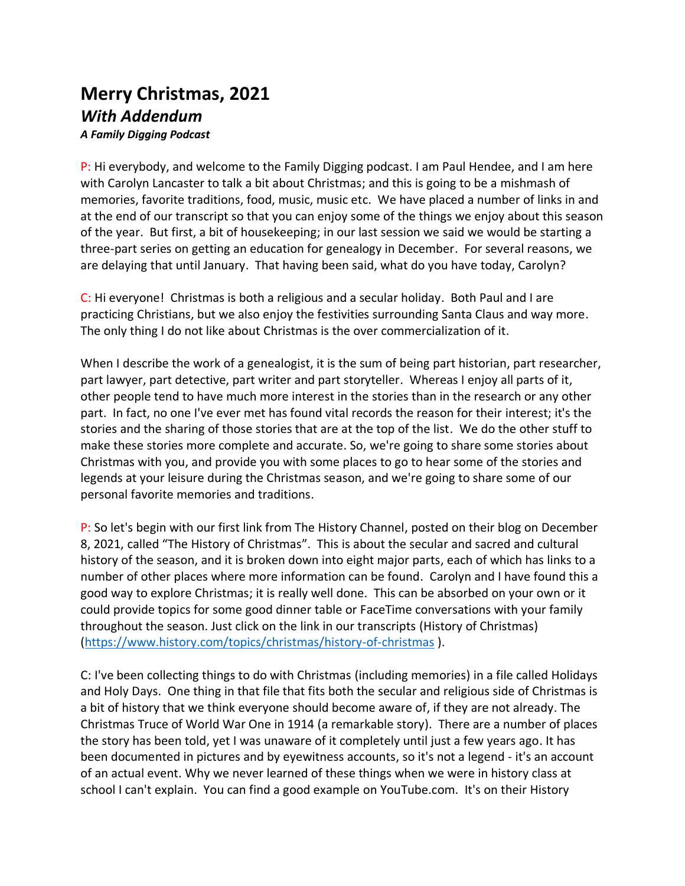## **Merry Christmas, 2021** *With Addendum A Family Digging Podcast*

P: Hi everybody, and welcome to the Family Digging podcast. I am Paul Hendee, and I am here with Carolyn Lancaster to talk a bit about Christmas; and this is going to be a mishmash of memories, favorite traditions, food, music, music etc. We have placed a number of links in and at the end of our transcript so that you can enjoy some of the things we enjoy about this season of the year. But first, a bit of housekeeping; in our last session we said we would be starting a three-part series on getting an education for genealogy in December. For several reasons, we are delaying that until January. That having been said, what do you have today, Carolyn?

C: Hi everyone! Christmas is both a religious and a secular holiday. Both Paul and I are practicing Christians, but we also enjoy the festivities surrounding Santa Claus and way more. The only thing I do not like about Christmas is the over commercialization of it.

When I describe the work of a genealogist, it is the sum of being part historian, part researcher, part lawyer, part detective, part writer and part storyteller. Whereas I enjoy all parts of it, other people tend to have much more interest in the stories than in the research or any other part. In fact, no one I've ever met has found vital records the reason for their interest; it's the stories and the sharing of those stories that are at the top of the list. We do the other stuff to make these stories more complete and accurate. So, we're going to share some stories about Christmas with you, and provide you with some places to go to hear some of the stories and legends at your leisure during the Christmas season, and we're going to share some of our personal favorite memories and traditions.

P: So let's begin with our first link from The History Channel, posted on their blog on December 8, 2021, called "The History of Christmas". This is about the secular and sacred and cultural history of the season, and it is broken down into eight major parts, each of which has links to a number of other places where more information can be found. Carolyn and I have found this a good way to explore Christmas; it is really well done. This can be absorbed on your own or it could provide topics for some good dinner table or FaceTime conversations with your family throughout the season. Just click on the link in our transcripts (History of Christmas) [\(https://www.history.com/topics/christmas/history-of-christmas](https://www.history.com/topics/christmas/history-of-christmas) ).

C: I've been collecting things to do with Christmas (including memories) in a file called Holidays and Holy Days. One thing in that file that fits both the secular and religious side of Christmas is a bit of history that we think everyone should become aware of, if they are not already. The Christmas Truce of World War One in 1914 (a remarkable story). There are a number of places the story has been told, yet I was unaware of it completely until just a few years ago. It has been documented in pictures and by eyewitness accounts, so it's not a legend - it's an account of an actual event. Why we never learned of these things when we were in history class at school I can't explain. You can find a good example on YouTube.com. It's on their History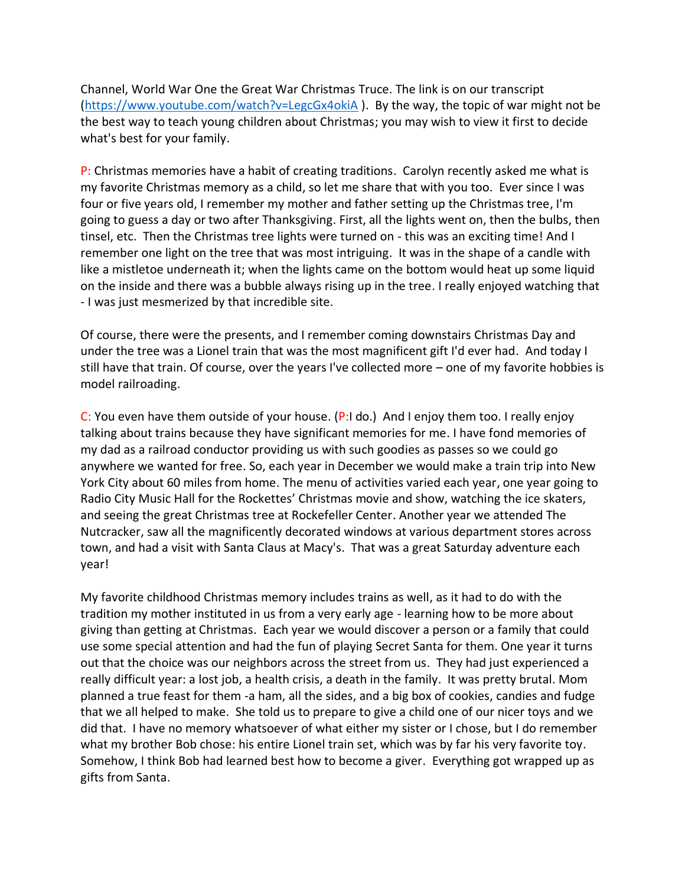Channel, World War One the Great War Christmas Truce. The link is on our transcript [\(https://www.youtube.com/watch?v=LegcGx4okiA](https://www.youtube.com/watch?v=LegcGx4okiA) ). By the way, the topic of war might not be the best way to teach young children about Christmas; you may wish to view it first to decide what's best for your family.

P: Christmas memories have a habit of creating traditions. Carolyn recently asked me what is my favorite Christmas memory as a child, so let me share that with you too. Ever since I was four or five years old, I remember my mother and father setting up the Christmas tree, I'm going to guess a day or two after Thanksgiving. First, all the lights went on, then the bulbs, then tinsel, etc. Then the Christmas tree lights were turned on - this was an exciting time! And I remember one light on the tree that was most intriguing. It was in the shape of a candle with like a mistletoe underneath it; when the lights came on the bottom would heat up some liquid on the inside and there was a bubble always rising up in the tree. I really enjoyed watching that - I was just mesmerized by that incredible site.

Of course, there were the presents, and I remember coming downstairs Christmas Day and under the tree was a Lionel train that was the most magnificent gift I'd ever had. And today I still have that train. Of course, over the years I've collected more – one of my favorite hobbies is model railroading.

C: You even have them outside of your house. (P:I do.) And I enjoy them too. I really enjoy talking about trains because they have significant memories for me. I have fond memories of my dad as a railroad conductor providing us with such goodies as passes so we could go anywhere we wanted for free. So, each year in December we would make a train trip into New York City about 60 miles from home. The menu of activities varied each year, one year going to Radio City Music Hall for the Rockettes' Christmas movie and show, watching the ice skaters, and seeing the great Christmas tree at Rockefeller Center. Another year we attended The Nutcracker, saw all the magnificently decorated windows at various department stores across town, and had a visit with Santa Claus at Macy's. That was a great Saturday adventure each year!

My favorite childhood Christmas memory includes trains as well, as it had to do with the tradition my mother instituted in us from a very early age - learning how to be more about giving than getting at Christmas. Each year we would discover a person or a family that could use some special attention and had the fun of playing Secret Santa for them. One year it turns out that the choice was our neighbors across the street from us. They had just experienced a really difficult year: a lost job, a health crisis, a death in the family. It was pretty brutal. Mom planned a true feast for them -a ham, all the sides, and a big box of cookies, candies and fudge that we all helped to make. She told us to prepare to give a child one of our nicer toys and we did that. I have no memory whatsoever of what either my sister or I chose, but I do remember what my brother Bob chose: his entire Lionel train set, which was by far his very favorite toy. Somehow, I think Bob had learned best how to become a giver. Everything got wrapped up as gifts from Santa.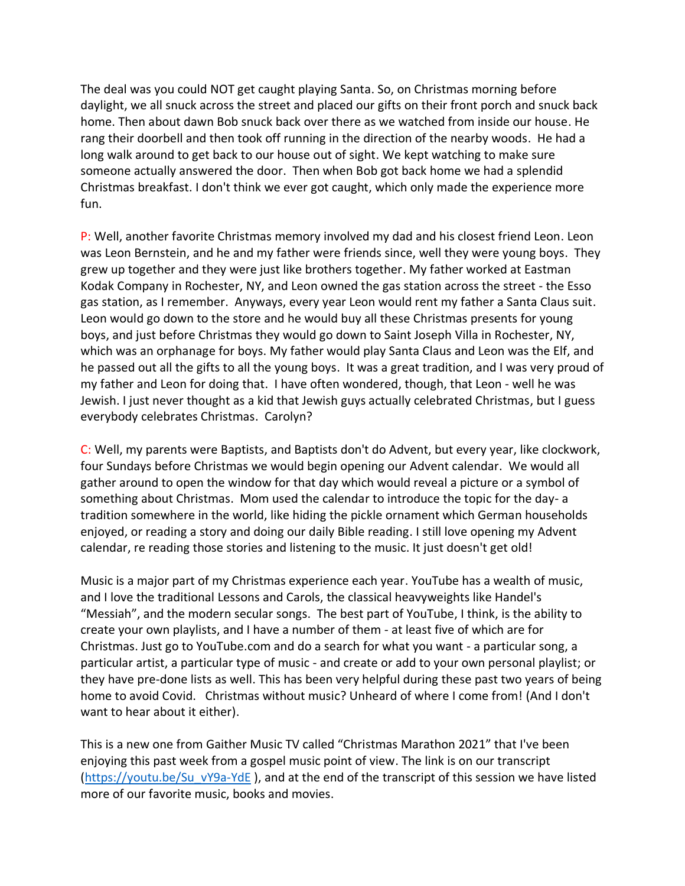The deal was you could NOT get caught playing Santa. So, on Christmas morning before daylight, we all snuck across the street and placed our gifts on their front porch and snuck back home. Then about dawn Bob snuck back over there as we watched from inside our house. He rang their doorbell and then took off running in the direction of the nearby woods. He had a long walk around to get back to our house out of sight. We kept watching to make sure someone actually answered the door. Then when Bob got back home we had a splendid Christmas breakfast. I don't think we ever got caught, which only made the experience more fun.

P: Well, another favorite Christmas memory involved my dad and his closest friend Leon. Leon was Leon Bernstein, and he and my father were friends since, well they were young boys. They grew up together and they were just like brothers together. My father worked at Eastman Kodak Company in Rochester, NY, and Leon owned the gas station across the street - the Esso gas station, as I remember. Anyways, every year Leon would rent my father a Santa Claus suit. Leon would go down to the store and he would buy all these Christmas presents for young boys, and just before Christmas they would go down to Saint Joseph Villa in Rochester, NY, which was an orphanage for boys. My father would play Santa Claus and Leon was the Elf, and he passed out all the gifts to all the young boys. It was a great tradition, and I was very proud of my father and Leon for doing that. I have often wondered, though, that Leon - well he was Jewish. I just never thought as a kid that Jewish guys actually celebrated Christmas, but I guess everybody celebrates Christmas. Carolyn?

C: Well, my parents were Baptists, and Baptists don't do Advent, but every year, like clockwork, four Sundays before Christmas we would begin opening our Advent calendar. We would all gather around to open the window for that day which would reveal a picture or a symbol of something about Christmas. Mom used the calendar to introduce the topic for the day- a tradition somewhere in the world, like hiding the pickle ornament which German households enjoyed, or reading a story and doing our daily Bible reading. I still love opening my Advent calendar, re reading those stories and listening to the music. It just doesn't get old!

Music is a major part of my Christmas experience each year. YouTube has a wealth of music, and I love the traditional Lessons and Carols, the classical heavyweights like Handel's "Messiah", and the modern secular songs. The best part of YouTube, I think, is the ability to create your own playlists, and I have a number of them - at least five of which are for Christmas. Just go to YouTube.com and do a search for what you want - a particular song, a particular artist, a particular type of music - and create or add to your own personal playlist; or they have pre-done lists as well. This has been very helpful during these past two years of being home to avoid Covid. Christmas without music? Unheard of where I come from! (And I don't want to hear about it either).

This is a new one from Gaither Music TV called "Christmas Marathon 2021" that I've been enjoying this past week from a gospel music point of view. The link is on our transcript [\(https://youtu.be/Su\\_vY9a-YdE](https://youtu.be/Su_vY9a-YdE) ), and at the end of the transcript of this session we have listed more of our favorite music, books and movies.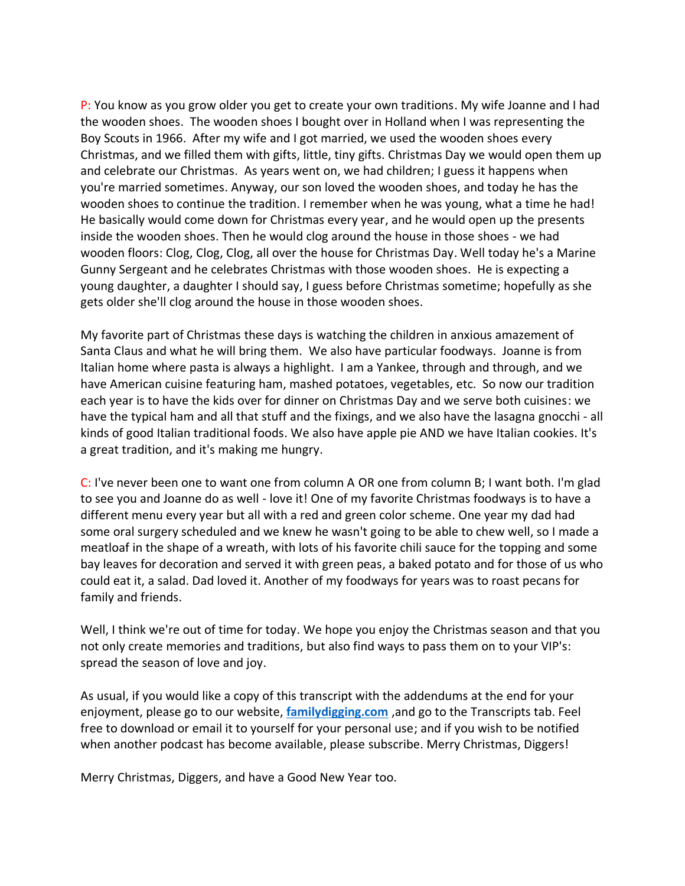P: You know as you grow older you get to create your own traditions. My wife Joanne and I had the wooden shoes. The wooden shoes I bought over in Holland when I was representing the Boy Scouts in 1966. After my wife and I got married, we used the wooden shoes every Christmas, and we filled them with gifts, little, tiny gifts. Christmas Day we would open them up and celebrate our Christmas. As years went on, we had children; I guess it happens when you're married sometimes. Anyway, our son loved the wooden shoes, and today he has the wooden shoes to continue the tradition. I remember when he was young, what a time he had! He basically would come down for Christmas every year, and he would open up the presents inside the wooden shoes. Then he would clog around the house in those shoes - we had wooden floors: Clog, Clog, Clog, all over the house for Christmas Day. Well today he's a Marine Gunny Sergeant and he celebrates Christmas with those wooden shoes. He is expecting a young daughter, a daughter I should say, I guess before Christmas sometime; hopefully as she gets older she'll clog around the house in those wooden shoes.

My favorite part of Christmas these days is watching the children in anxious amazement of Santa Claus and what he will bring them. We also have particular foodways. Joanne is from Italian home where pasta is always a highlight. I am a Yankee, through and through, and we have American cuisine featuring ham, mashed potatoes, vegetables, etc. So now our tradition each year is to have the kids over for dinner on Christmas Day and we serve both cuisines: we have the typical ham and all that stuff and the fixings, and we also have the lasagna gnocchi - all kinds of good Italian traditional foods. We also have apple pie AND we have Italian cookies. It's a great tradition, and it's making me hungry.

C: I've never been one to want one from column A OR one from column B; I want both. I'm glad to see you and Joanne do as well - love it! One of my favorite Christmas foodways is to have a different menu every year but all with a red and green color scheme. One year my dad had some oral surgery scheduled and we knew he wasn't going to be able to chew well, so I made a meatloaf in the shape of a wreath, with lots of his favorite chili sauce for the topping and some bay leaves for decoration and served it with green peas, a baked potato and for those of us who could eat it, a salad. Dad loved it. Another of my foodways for years was to roast pecans for family and friends.

Well, I think we're out of time for today. We hope you enjoy the Christmas season and that you not only create memories and traditions, but also find ways to pass them on to your VIP's: spread the season of love and joy.

As usual, if you would like a copy of this transcript with the addendums at the end for your enjoyment, please go to our website, **[familydigging.com](https://familydigging.com/)** ,and go to the Transcripts tab. Feel free to download or email it to yourself for your personal use; and if you wish to be notified when another podcast has become available, please subscribe. Merry Christmas, Diggers!

Merry Christmas, Diggers, and have a Good New Year too.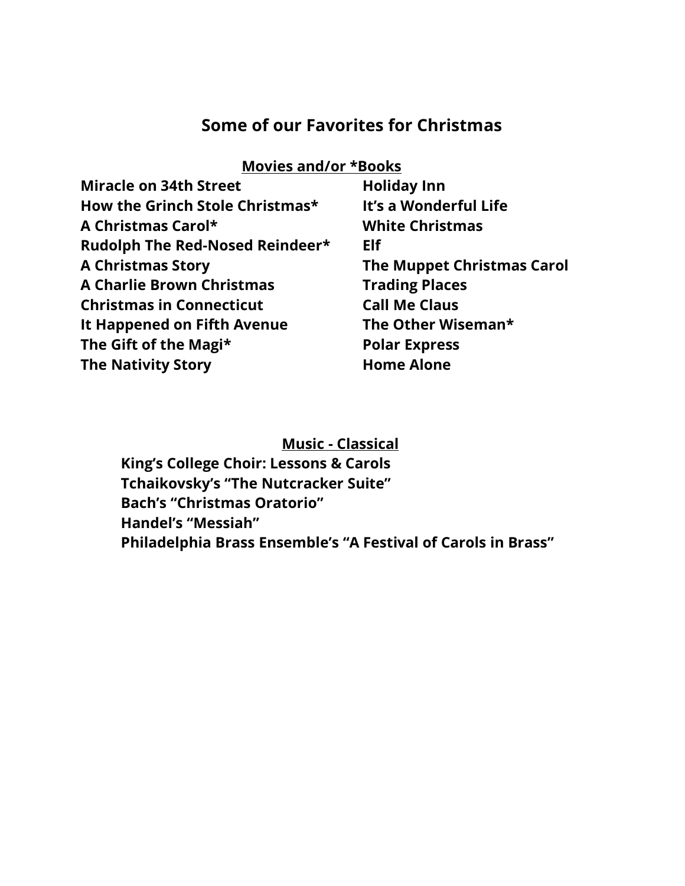# **Some of our Favorites for Christmas**

#### **Movies and/or \*Books**

| <b>Miracle on 34th Street</b>    | <b>Holiday Inn</b>         |
|----------------------------------|----------------------------|
| How the Grinch Stole Christmas*  | It's a Wonderful Life      |
| A Christmas Carol*               | <b>White Christmas</b>     |
| Rudolph The Red-Nosed Reindeer*  | Elf                        |
| <b>A Christmas Story</b>         | The Muppet Christmas Carol |
| <b>A Charlie Brown Christmas</b> | <b>Trading Places</b>      |
| <b>Christmas in Connecticut</b>  | <b>Call Me Claus</b>       |
| It Happened on Fifth Avenue      | The Other Wiseman*         |
| The Gift of the Magi*            | <b>Polar Express</b>       |
| <b>The Nativity Story</b>        | <b>Home Alone</b>          |

**Music - Classical**

**King's College Choir: Lessons & Carols Tchaikovsky's "The Nutcracker Suite" Bach's "Christmas Oratorio" Handel's "Messiah" Philadelphia Brass Ensemble's "A Festival of Carols in Brass"**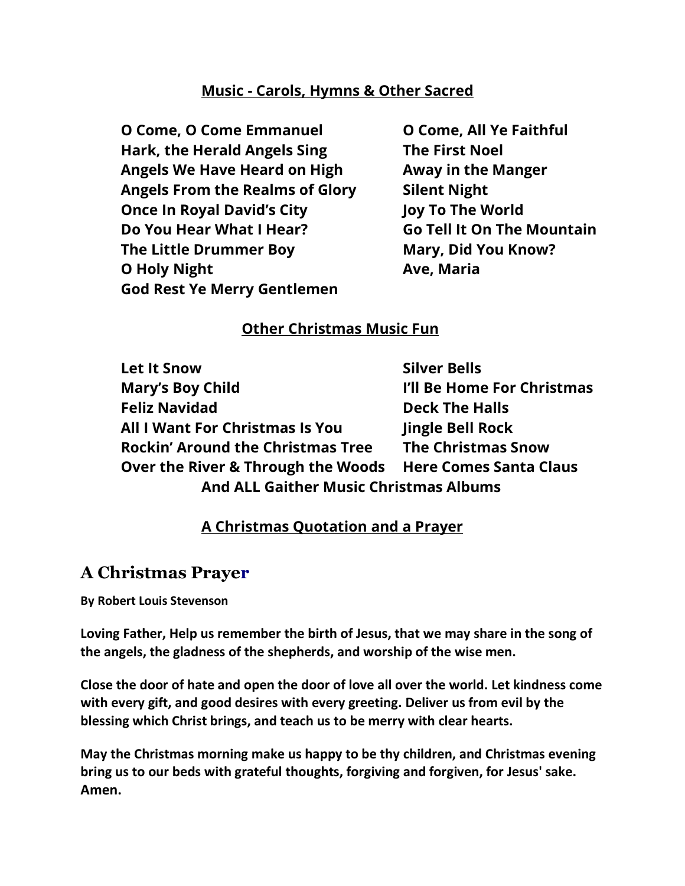#### **Music - Carols, Hymns & Other Sacred**

**O Come, O Come Emmanuel O Come, All Ye Faithful Hark, the Herald Angels Sing The First Noel Angels We Have Heard on High Away in the Manger Angels From the Realms of Glory Silent Night Once In Royal David's City Joy To The World Do You Hear What I Hear? Go Tell It On The Mountain The Little Drummer Boy Mary, Did You Know? O Holy Night Ave, Maria God Rest Ye Merry Gentlemen**

## **Other Christmas Music Fun**

**Let It Snow Silver Bells Mary's Boy Child Communist Communist Communist Communist Communist Communist Communist Communist Communist Communist Communist Communist Communist Communist Communist Communist Communist Communist Communist Communist Comm Feliz Navidad Deck The Halls All I Want For Christmas Is You Jingle Bell Rock Rockin' Around the Christmas Tree The Christmas Snow Over the River & Through the Woods Here Comes Santa Claus And ALL Gaither Music Christmas Albums**

## **A Christmas Quotation and a Prayer**

## **A Christmas Prayer**

**By Robert Louis Stevenson**

**Loving Father, Help us remember the birth of Jesus, that we may share in the song of the angels, the gladness of the shepherds, and worship of the wise men.**

**Close the door of hate and open the door of love all over the world. Let kindness come with every gift, and good desires with every greeting. Deliver us from evil by the blessing which Christ brings, and teach us to be merry with clear hearts.**

**May the Christmas morning make us happy to be thy children, and Christmas evening bring us to our beds with grateful thoughts, forgiving and forgiven, for Jesus' sake. Amen.**